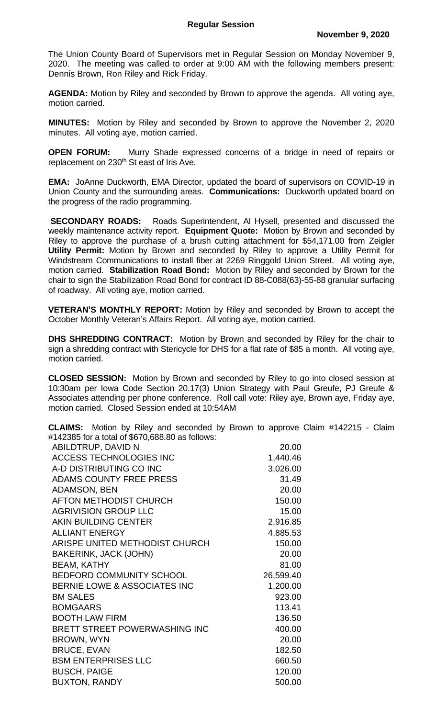The Union County Board of Supervisors met in Regular Session on Monday November 9, 2020. The meeting was called to order at 9:00 AM with the following members present: Dennis Brown, Ron Riley and Rick Friday.

**AGENDA:** Motion by Riley and seconded by Brown to approve the agenda. All voting aye, motion carried.

**MINUTES:** Motion by Riley and seconded by Brown to approve the November 2, 2020 minutes. All voting aye, motion carried.

**OPEN FORUM:** Murry Shade expressed concerns of a bridge in need of repairs or replacement on 230<sup>th</sup> St east of Iris Ave.

**EMA:** JoAnne Duckworth, EMA Director, updated the board of supervisors on COVID-19 in Union County and the surrounding areas. **Communications:** Duckworth updated board on the progress of the radio programming.

**SECONDARY ROADS:** Roads Superintendent, Al Hysell, presented and discussed the weekly maintenance activity report. **Equipment Quote:** Motion by Brown and seconded by Riley to approve the purchase of a brush cutting attachment for \$54,171.00 from Zeigler **Utility Permit:** Motion by Brown and seconded by Riley to approve a Utility Permit for Windstream Communications to install fiber at 2269 Ringgold Union Street. All voting aye, motion carried. **Stabilization Road Bond:** Motion by Riley and seconded by Brown for the chair to sign the Stabilization Road Bond for contract ID 88-C088(63)-55-88 granular surfacing of roadway. All voting aye, motion carried.

**VETERAN'S MONTHLY REPORT:** Motion by Riley and seconded by Brown to accept the October Monthly Veteran's Affairs Report. All voting aye, motion carried.

**DHS SHREDDING CONTRACT:** Motion by Brown and seconded by Riley for the chair to sign a shredding contract with Stericycle for DHS for a flat rate of \$85 a month. All voting aye, motion carried.

**CLOSED SESSION:** Motion by Brown and seconded by Riley to go into closed session at 10:30am per Iowa Code Section 20.17(3) Union Strategy with Paul Greufe, PJ Greufe & Associates attending per phone conference. Roll call vote: Riley aye, Brown aye, Friday aye, motion carried. Closed Session ended at 10:54AM

**CLAIMS:** Motion by Riley and seconded by Brown to approve Claim #142215 - Claim #142385 for a total of \$670,688.80 as follows:

| ABILDTRUP, DAVID N                      | 20.00     |
|-----------------------------------------|-----------|
| <b>ACCESS TECHNOLOGIES INC</b>          | 1,440.46  |
| A-D DISTRIBUTING CO INC                 | 3,026.00  |
| <b>ADAMS COUNTY FREE PRESS</b>          | 31.49     |
| <b>ADAMSON, BEN</b>                     | 20.00     |
| <b>AFTON METHODIST CHURCH</b>           | 150.00    |
| <b>AGRIVISION GROUP LLC</b>             | 15.00     |
| <b>AKIN BUILDING CENTER</b>             | 2,916.85  |
| <b>ALLIANT ENERGY</b>                   | 4,885.53  |
| ARISPE UNITED METHODIST CHURCH          | 150.00    |
| <b>BAKERINK, JACK (JOHN)</b>            | 20.00     |
| <b>BEAM, KATHY</b>                      | 81.00     |
| <b>BEDFORD COMMUNITY SCHOOL</b>         | 26,599.40 |
| <b>BERNIE LOWE &amp; ASSOCIATES INC</b> | 1,200.00  |
| <b>BM SALES</b>                         | 923.00    |
| <b>BOMGAARS</b>                         | 113.41    |
| <b>BOOTH LAW FIRM</b>                   | 136.50    |
| BRETT STREET POWERWASHING INC           | 400.00    |
| <b>BROWN, WYN</b>                       | 20.00     |
| <b>BRUCE, EVAN</b>                      | 182.50    |
| <b>BSM ENTERPRISES LLC</b>              | 660.50    |
| <b>BUSCH, PAIGE</b>                     | 120.00    |
| <b>BUXTON, RANDY</b>                    | 500.00    |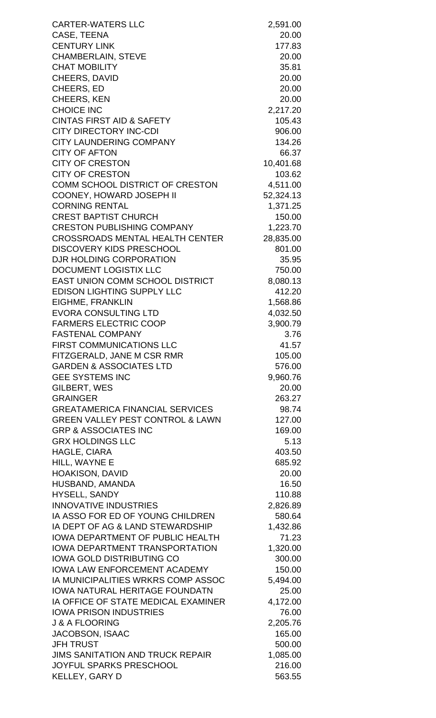| <b>CARTER-WATERS LLC</b>                    | 2,591.00        |
|---------------------------------------------|-----------------|
| CASE, TEENA                                 | 20.00           |
| <b>CENTURY LINK</b>                         | 177.83          |
| <b>CHAMBERLAIN, STEVE</b>                   | 20.00           |
| <b>CHAT MOBILITY</b>                        | 35.81           |
| CHEERS, DAVID                               | 20.00           |
| CHEERS, ED                                  | 20.00           |
| <b>CHEERS, KEN</b>                          | 20.00           |
| <b>CHOICE INC</b>                           | 2,217.20        |
| <b>CINTAS FIRST AID &amp; SAFETY</b>        | 105.43          |
| <b>CITY DIRECTORY INC-CDI</b>               | 906.00          |
| <b>CITY LAUNDERING COMPANY</b>              | 134.26          |
| <b>CITY OF AFTON</b>                        | 66.37           |
| <b>CITY OF CRESTON</b>                      | 10,401.68       |
| <b>CITY OF CRESTON</b>                      | 103.62          |
| COMM SCHOOL DISTRICT OF CRESTON             | 4,511.00        |
| <b>COONEY, HOWARD JOSEPH II</b>             | 52,324.13       |
| <b>CORNING RENTAL</b>                       | 1,371.25        |
| <b>CREST BAPTIST CHURCH</b>                 | 150.00          |
| <b>CRESTON PUBLISHING COMPANY</b>           | 1,223.70        |
| <b>CROSSROADS MENTAL HEALTH CENTER</b>      | 28,835.00       |
| <b>DISCOVERY KIDS PRESCHOOL</b>             | 801.00          |
| DJR HOLDING CORPORATION                     | 35.95           |
| DOCUMENT LOGISTIX LLC                       | 750.00          |
| EAST UNION COMM SCHOOL DISTRICT             | 8,080.13        |
| <b>EDISON LIGHTING SUPPLY LLC</b>           | 412.20          |
| EIGHME, FRANKLIN                            | 1,568.86        |
| <b>EVORA CONSULTING LTD</b>                 | 4,032.50        |
| <b>FARMERS ELECTRIC COOP</b>                | 3,900.79        |
| <b>FASTENAL COMPANY</b>                     | 3.76            |
| <b>FIRST COMMUNICATIONS LLC</b>             | 41.57           |
| FITZGERALD, JANE M CSR RMR                  | 105.00          |
| <b>GARDEN &amp; ASSOCIATES LTD</b>          | 576.00          |
| <b>GEE SYSTEMS INC</b>                      | 9,960.76        |
| <b>GILBERT, WES</b>                         | 20.00           |
| <b>GRAINGER</b>                             | 263.27          |
| <b>GREATAMERICA FINANCIAL SERVICES</b>      | 98.74           |
| <b>GREEN VALLEY PEST CONTROL &amp; LAWN</b> | 127.00          |
| <b>GRP &amp; ASSOCIATES INC</b>             | 169.00          |
| <b>GRX HOLDINGS LLC</b>                     | 5.13            |
| <b>HAGLE, CIARA</b>                         | 403.50          |
| HILL, WAYNE E                               | 685.92<br>20.00 |
| <b>HOAKISON, DAVID</b><br>HUSBAND, AMANDA   | 16.50           |
| <b>HYSELL, SANDY</b>                        | 110.88          |
| <b>INNOVATIVE INDUSTRIES</b>                | 2,826.89        |
| IA ASSO FOR ED OF YOUNG CHILDREN            | 580.64          |
| IA DEPT OF AG & LAND STEWARDSHIP            | 1,432.86        |
| <b>IOWA DEPARTMENT OF PUBLIC HEALTH</b>     | 71.23           |
| <b>IOWA DEPARTMENT TRANSPORTATION</b>       | 1,320.00        |
| <b>IOWA GOLD DISTRIBUTING CO</b>            | 300.00          |
| <b>IOWA LAW ENFORCEMENT ACADEMY</b>         | 150.00          |
| <b>IA MUNICIPALITIES WRKRS COMP ASSOC</b>   | 5,494.00        |
| <b>IOWA NATURAL HERITAGE FOUNDATN</b>       | 25.00           |
| IA OFFICE OF STATE MEDICAL EXAMINER         | 4,172.00        |
| <b>IOWA PRISON INDUSTRIES</b>               | 76.00           |
| <b>J &amp; A FLOORING</b>                   | 2,205.76        |
| JACOBSON, ISAAC                             | 165.00          |
| <b>JFH TRUST</b>                            | 500.00          |
| JIMS SANITATION AND TRUCK REPAIR            | 1,085.00        |
| <b>JOYFUL SPARKS PRESCHOOL</b>              | 216.00          |
| KELLEY, GARY D                              | 563.55          |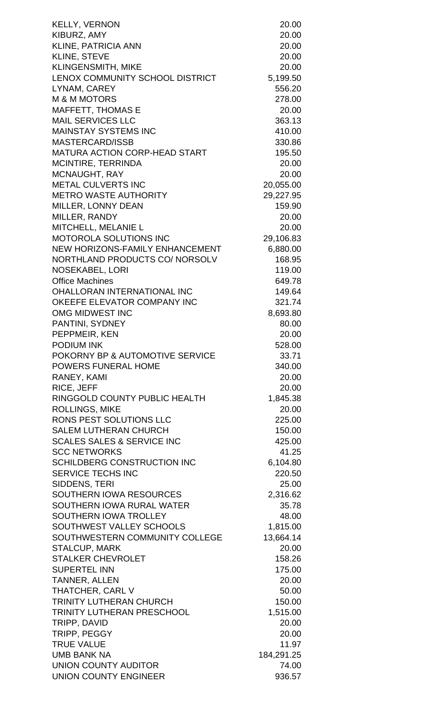| KELLY, VERNON                                     | 20.00              |
|---------------------------------------------------|--------------------|
| KIBURZ, AMY                                       | 20.00              |
| <b>KLINE, PATRICIA ANN</b>                        | 20.00              |
| <b>KLINE, STEVE</b>                               | 20.00              |
| <b>KLINGENSMITH, MIKE</b>                         | 20.00              |
| LENOX COMMUNITY SCHOOL DISTRICT                   | 5,199.50           |
| LYNAM, CAREY                                      | 556.20             |
| <b>M &amp; M MOTORS</b>                           | 278.00             |
| <b>MAFFETT, THOMAS E</b>                          | 20.00              |
| <b>MAIL SERVICES LLC</b>                          | 363.13             |
| <b>MAINSTAY SYSTEMS INC</b>                       | 410.00             |
| <b>MASTERCARD/ISSB</b>                            | 330.86             |
| <b>MATURA ACTION CORP-HEAD START</b>              | 195.50             |
| MCINTIRE, TERRINDA                                | 20.00              |
| <b>MCNAUGHT, RAY</b>                              | 20.00              |
| <b>METAL CULVERTS INC</b>                         | 20,055.00          |
| <b>METRO WASTE AUTHORITY</b>                      | 29,227.95          |
| MILLER, LONNY DEAN                                | 159.90             |
| MILLER, RANDY                                     | 20.00              |
| MITCHELL, MELANIE L                               | 20.00              |
| <b>MOTOROLA SOLUTIONS INC</b>                     | 29,106.83          |
| NEW HORIZONS-FAMILY ENHANCEMENT                   | 6,880.00           |
| NORTHLAND PRODUCTS CO/ NORSOLV                    | 168.95             |
| <b>NOSEKABEL, LORI</b>                            | 119.00             |
| <b>Office Machines</b>                            | 649.78             |
| <b>OHALLORAN INTERNATIONAL INC</b>                | 149.64             |
| OKEEFE ELEVATOR COMPANY INC                       | 321.74             |
| OMG MIDWEST INC                                   | 8,693.80           |
| PANTINI, SYDNEY                                   | 80.00              |
| PEPPMEIR, KEN                                     | 20.00              |
| <b>PODIUM INK</b>                                 | 528.00             |
| POKORNY BP & AUTOMOTIVE SERVICE                   | 33.71              |
| <b>POWERS FUNERAL HOME</b>                        | 340.00             |
| RANEY, KAMI                                       | 20.00              |
| RICE, JEFF                                        | 20.00              |
| RINGGOLD COUNTY PUBLIC HEALTH                     | 1,845.38           |
| <b>ROLLINGS, MIKE</b>                             | 20.00              |
| RONS PEST SOLUTIONS LLC                           | 225.00             |
| <b>SALEM LUTHERAN CHURCH</b>                      | 150.00             |
| <b>SCALES SALES &amp; SERVICE INC</b>             | 425.00             |
| <b>SCC NETWORKS</b>                               | 41.25              |
| <b>SCHILDBERG CONSTRUCTION INC</b>                |                    |
| <b>SERVICE TECHS INC</b>                          | 6,104.80<br>220.50 |
| SIDDENS, TERI                                     |                    |
| <b>SOUTHERN IOWA RESOURCES</b>                    | 25.00              |
| SOUTHERN IOWA RURAL WATER                         | 2,316.62           |
|                                                   | 35.78              |
| SOUTHERN IOWA TROLLEY<br>SOUTHWEST VALLEY SCHOOLS | 48.00              |
| SOUTHWESTERN COMMUNITY COLLEGE                    | 1,815.00           |
|                                                   | 13,664.14          |
| <b>STALCUP, MARK</b><br><b>STALKER CHEVROLET</b>  | 20.00              |
| <b>SUPERTEL INN</b>                               | 158.26             |
|                                                   | 175.00<br>20.00    |
| <b>TANNER, ALLEN</b><br>THATCHER, CARL V          |                    |
|                                                   | 50.00              |
| <b>TRINITY LUTHERAN CHURCH</b>                    | 150.00             |
| <b>TRINITY LUTHERAN PRESCHOOL</b>                 | 1,515.00           |
| TRIPP, DAVID                                      | 20.00              |
| TRIPP, PEGGY                                      | 20.00              |
| <b>TRUE VALUE</b>                                 | 11.97              |
| <b>UMB BANK NA</b>                                | 184,291.25         |
| <b>UNION COUNTY AUDITOR</b>                       | 74.00              |
| <b>UNION COUNTY ENGINEER</b>                      | 936.57             |